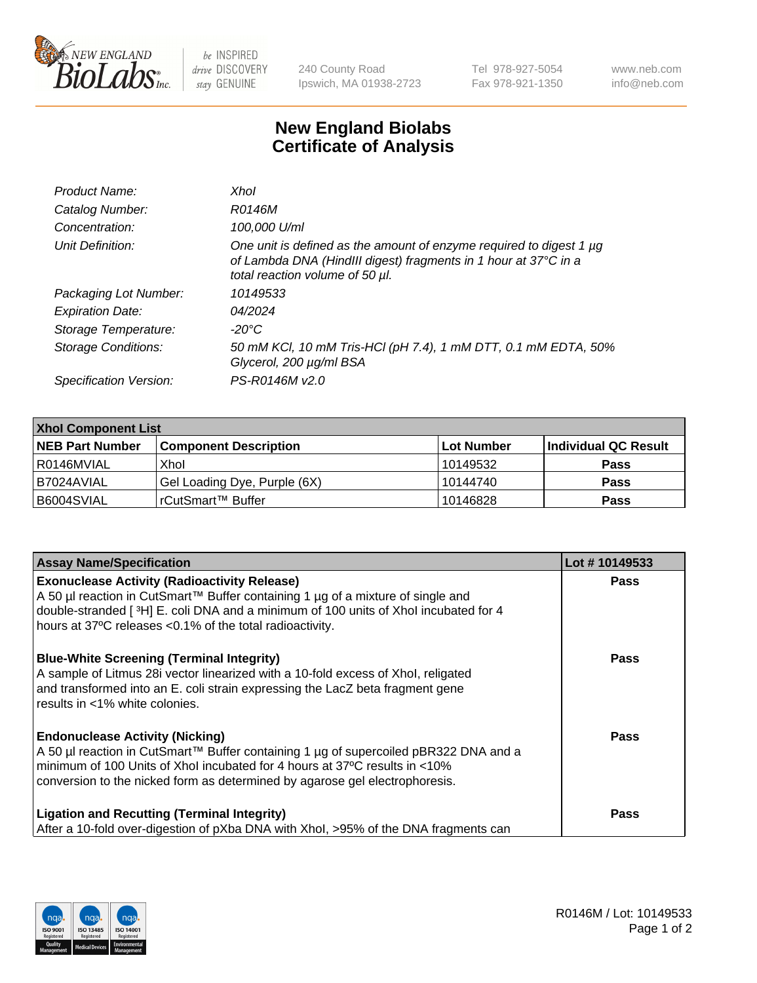

 $be$  INSPIRED drive DISCOVERY stay GENUINE

240 County Road Ipswich, MA 01938-2723 Tel 978-927-5054 Fax 978-921-1350 www.neb.com info@neb.com

## **New England Biolabs Certificate of Analysis**

| Product Name:           | Xhol                                                                                                                                                                      |
|-------------------------|---------------------------------------------------------------------------------------------------------------------------------------------------------------------------|
| Catalog Number:         | R0146M                                                                                                                                                                    |
| Concentration:          | 100,000 U/ml                                                                                                                                                              |
| Unit Definition:        | One unit is defined as the amount of enzyme required to digest 1 µg<br>of Lambda DNA (HindIII digest) fragments in 1 hour at 37°C in a<br>total reaction volume of 50 µl. |
| Packaging Lot Number:   | 10149533                                                                                                                                                                  |
| <b>Expiration Date:</b> | 04/2024                                                                                                                                                                   |
| Storage Temperature:    | -20°C                                                                                                                                                                     |
| Storage Conditions:     | 50 mM KCI, 10 mM Tris-HCI (pH 7.4), 1 mM DTT, 0.1 mM EDTA, 50%<br>Glycerol, 200 µg/ml BSA                                                                                 |
| Specification Version:  | PS-R0146M v2.0                                                                                                                                                            |

| <b>Xhol Component List</b> |                              |             |                      |  |  |
|----------------------------|------------------------------|-------------|----------------------|--|--|
| <b>NEB Part Number</b>     | <b>Component Description</b> | ∣Lot Number | Individual QC Result |  |  |
| R0146MVIAL                 | Xhol                         | 10149532    | <b>Pass</b>          |  |  |
| I B7024AVIAL               | Gel Loading Dye, Purple (6X) | 10144740    | <b>Pass</b>          |  |  |
| B6004SVIAL                 | rCutSmart™ Buffer            | 10146828    | <b>Pass</b>          |  |  |

| <b>Assay Name/Specification</b>                                                                                                                                                                                                                                                             | Lot #10149533 |
|---------------------------------------------------------------------------------------------------------------------------------------------------------------------------------------------------------------------------------------------------------------------------------------------|---------------|
| <b>Exonuclease Activity (Radioactivity Release)</b><br>A 50 µl reaction in CutSmart™ Buffer containing 1 µg of a mixture of single and<br>double-stranded [3H] E. coli DNA and a minimum of 100 units of Xhol incubated for 4<br>hours at 37°C releases <0.1% of the total radioactivity.   | <b>Pass</b>   |
| <b>Blue-White Screening (Terminal Integrity)</b><br>A sample of Litmus 28i vector linearized with a 10-fold excess of Xhol, religated<br>and transformed into an E. coli strain expressing the LacZ beta fragment gene<br>results in <1% white colonies.                                    | <b>Pass</b>   |
| <b>Endonuclease Activity (Nicking)</b><br>A 50 µl reaction in CutSmart™ Buffer containing 1 µg of supercoiled pBR322 DNA and a<br>minimum of 100 Units of Xhol incubated for 4 hours at 37°C results in <10%<br>conversion to the nicked form as determined by agarose gel electrophoresis. | Pass          |
| <b>Ligation and Recutting (Terminal Integrity)</b><br>After a 10-fold over-digestion of pXba DNA with Xhol, >95% of the DNA fragments can                                                                                                                                                   | Pass          |